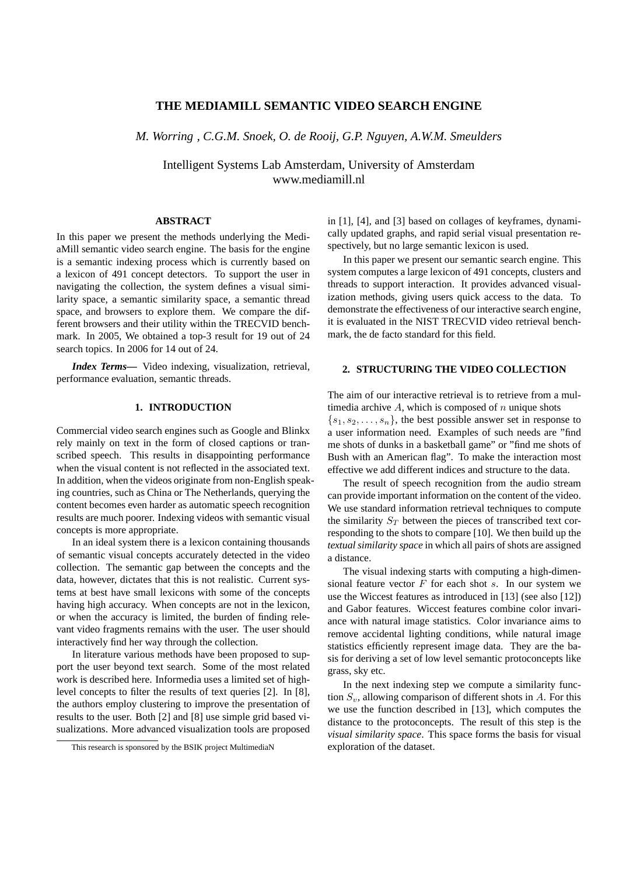### **THE MEDIAMILL SEMANTIC VIDEO SEARCH ENGINE**

*M. Worring , C.G.M. Snoek, O. de Rooij, G.P. Nguyen, A.W.M. Smeulders*

Intelligent Systems Lab Amsterdam, University of Amsterdam www.mediamill.nl

#### **ABSTRACT**

In this paper we present the methods underlying the MediaMill semantic video search engine. The basis for the engine is a semantic indexing process which is currently based on a lexicon of 491 concept detectors. To support the user in navigating the collection, the system defines a visual similarity space, a semantic similarity space, a semantic thread space, and browsers to explore them. We compare the different browsers and their utility within the TRECVID benchmark. In 2005, We obtained a top-3 result for 19 out of 24 search topics. In 2006 for 14 out of 24.

*Index Terms***—** Video indexing, visualization, retrieval, performance evaluation, semantic threads.

### **1. INTRODUCTION**

Commercial video search engines such as Google and Blinkx rely mainly on text in the form of closed captions or transcribed speech. This results in disappointing performance when the visual content is not reflected in the associated text. In addition, when the videos originate from non-English speaking countries, such as China or The Netherlands, querying the content becomes even harder as automatic speech recognition results are much poorer. Indexing videos with semantic visual concepts is more appropriate.

In an ideal system there is a lexicon containing thousands of semantic visual concepts accurately detected in the video collection. The semantic gap between the concepts and the data, however, dictates that this is not realistic. Current systems at best have small lexicons with some of the concepts having high accuracy. When concepts are not in the lexicon, or when the accuracy is limited, the burden of finding relevant video fragments remains with the user. The user should interactively find her way through the collection.

In literature various methods have been proposed to support the user beyond text search. Some of the most related work is described here. Informedia uses a limited set of highlevel concepts to filter the results of text queries [2]. In [8], the authors employ clustering to improve the presentation of results to the user. Both [2] and [8] use simple grid based visualizations. More advanced visualization tools are proposed

in [1], [4], and [3] based on collages of keyframes, dynamically updated graphs, and rapid serial visual presentation respectively, but no large semantic lexicon is used.

In this paper we present our semantic search engine. This system computes a large lexicon of 491 concepts, clusters and threads to support interaction. It provides advanced visualization methods, giving users quick access to the data. To demonstrate the effectiveness of our interactive search engine, it is evaluated in the NIST TRECVID video retrieval benchmark, the de facto standard for this field.

# **2. STRUCTURING THE VIDEO COLLECTION**

The aim of our interactive retrieval is to retrieve from a multimedia archive  $A$ , which is composed of  $n$  unique shots  $\{s_1, s_2, \ldots, s_n\}$ , the best possible answer set in response to a user information need. Examples of such needs are "find me shots of dunks in a basketball game" or "find me shots of Bush with an American flag". To make the interaction most effective we add different indices and structure to the data.

The result of speech recognition from the audio stream can provide important information on the content of the video. We use standard information retrieval techniques to compute the similarity  $S_T$  between the pieces of transcribed text corresponding to the shots to compare [10]. We then build up the *textual similarity space* in which all pairs of shots are assigned a distance.

The visual indexing starts with computing a high-dimensional feature vector  $F$  for each shot  $s$ . In our system we use the Wiccest features as introduced in [13] (see also [12]) and Gabor features. Wiccest features combine color invariance with natural image statistics. Color invariance aims to remove accidental lighting conditions, while natural image statistics efficiently represent image data. They are the basis for deriving a set of low level semantic protoconcepts like grass, sky etc.

In the next indexing step we compute a similarity function  $S_v$ , allowing comparison of different shots in A. For this we use the function described in [13], which computes the distance to the protoconcepts. The result of this step is the *visual similarity space*. This space forms the basis for visual exploration of the dataset.

This research is sponsored by the BSIK project MultimediaN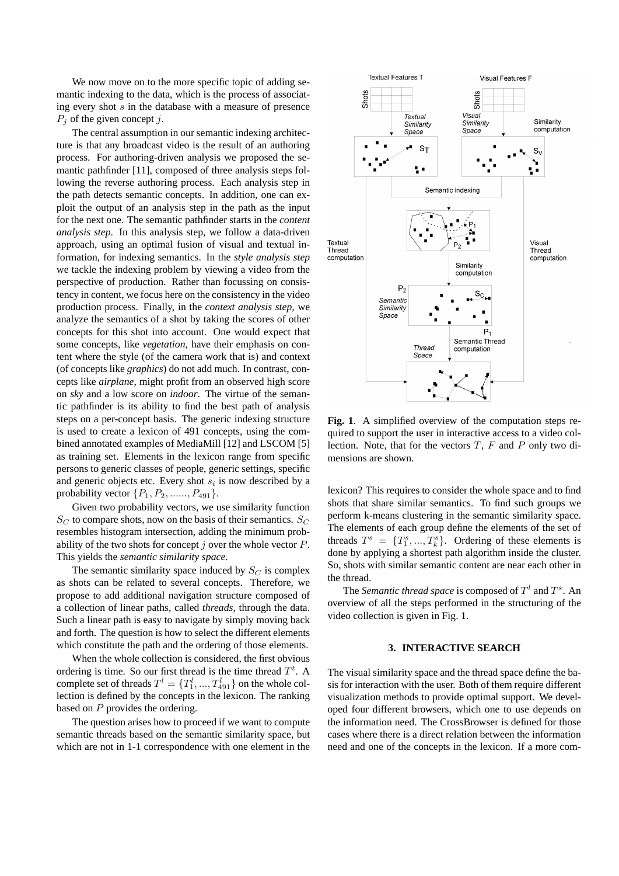We now move on to the more specific topic of adding semantic indexing to the data, which is the process of associating every shot  $s$  in the database with a measure of presence  $P_i$  of the given concept j.

The central assumption in our semantic indexing architecture is that any broadcast video is the result of an authoring process. For authoring-driven analysis we proposed the semantic pathfinder [11], composed of three analysis steps following the reverse authoring process. Each analysis step in the path detects semantic concepts. In addition, one can exploit the output of an analysis step in the path as the input for the next one. The semantic pathfinder starts in the *content analysis step*. In this analysis step, we follow a data-driven approach, using an optimal fusion of visual and textual information, for indexing semantics. In the *style analysis step* we tackle the indexing problem by viewing a video from the perspective of production. Rather than focussing on consistency in content, we focus here on the consistency in the video production process. Finally, in the *context analysis step*, we analyze the semantics of a shot by taking the scores of other concepts for this shot into account. One would expect that some concepts, like *vegetation*, have their emphasis on content where the style (of the camera work that is) and context (of concepts like *graphics*) do not add much. In contrast, concepts like *airplane*, might profit from an observed high score on *sky* and a low score on *indoor*. The virtue of the semantic pathfinder is its ability to find the best path of analysis steps on a per-concept basis. The generic indexing structure is used to create a lexicon of 491 concepts, using the combined annotated examples of MediaMill [12] and LSCOM [5] as training set. Elements in the lexicon range from specific persons to generic classes of people, generic settings, specific and generic objects etc. Every shot  $s_i$  is now described by a probability vector  $\{P_1, P_2, \ldots, P_{491}\}.$ 

Given two probability vectors, we use similarity function  $S_C$  to compare shots, now on the basis of their semantics.  $S_C$ resembles histogram intersection, adding the minimum probability of the two shots for concept  $j$  over the whole vector  $P$ . This yields the *semantic similarity space*.

The semantic similarity space induced by  $S_C$  is complex as shots can be related to several concepts. Therefore, we propose to add additional navigation structure composed of a collection of linear paths, called *threads*, through the data. Such a linear path is easy to navigate by simply moving back and forth. The question is how to select the different elements which constitute the path and the ordering of those elements.

When the whole collection is considered, the first obvious ordering is time. So our first thread is the time thread  $T<sup>t</sup>$ . A complete set of threads  $T^l = \{T^l_1, ..., T^l_{491}\}$  on the whole collection is defined by the concepts in the lexicon. The ranking based on P provides the ordering.

The question arises how to proceed if we want to compute semantic threads based on the semantic similarity space, but which are not in 1-1 correspondence with one element in the



**Fig. 1**. A simplified overview of the computation steps required to support the user in interactive access to a video collection. Note, that for the vectors  $T$ ,  $F$  and  $P$  only two dimensions are shown.

lexicon? This requires to consider the whole space and to find shots that share similar semantics. To find such groups we perform k-means clustering in the semantic similarity space. The elements of each group define the elements of the set of threads  $T^s = \{T^s_1, ..., T^s_k\}$ . Ordering of these elements is done by applying a shortest path algorithm inside the cluster. So, shots with similar semantic content are near each other in the thread.

The *Semantic thread space* is composed of  $T^l$  and  $T^s$ . An overview of all the steps performed in the structuring of the video collection is given in Fig. 1.

#### **3. INTERACTIVE SEARCH**

The visual similarity space and the thread space define the basis for interaction with the user. Both of them require different visualization methods to provide optimal support. We developed four different browsers, which one to use depends on the information need. The CrossBrowser is defined for those cases where there is a direct relation between the information need and one of the concepts in the lexicon. If a more com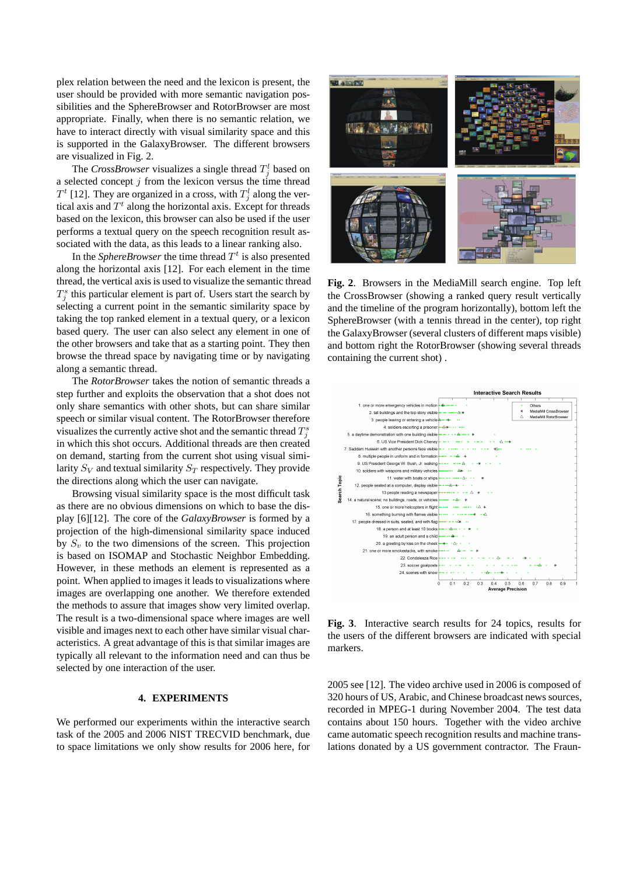plex relation between the need and the lexicon is present, the user should be provided with more semantic navigation possibilities and the SphereBrowser and RotorBrowser are most appropriate. Finally, when there is no semantic relation, we have to interact directly with visual similarity space and this is supported in the GalaxyBrowser. The different browsers are visualized in Fig. 2.

The *CrossBrowser* visualizes a single thread  $T_j^l$  based on a selected concept  $j$  from the lexicon versus the time thread  $T<sup>t</sup>$  [12]. They are organized in a cross, with  $T<sup>t</sup><sub>j</sub>$  along the vertical axis and  $T<sup>t</sup>$  along the horizontal axis. Except for threads based on the lexicon, this browser can also be used if the user performs a textual query on the speech recognition result associated with the data, as this leads to a linear ranking also.

In the *SphereBrowser* the time thread  $T<sup>t</sup>$  is also presented along the horizontal axis [12]. For each element in the time thread, the vertical axis is used to visualize the semantic thread  $T_j^s$  this particular element is part of. Users start the search by selecting a current point in the semantic similarity space by taking the top ranked element in a textual query, or a lexicon based query. The user can also select any element in one of the other browsers and take that as a starting point. They then browse the thread space by navigating time or by navigating along a semantic thread.

The *RotorBrowser* takes the notion of semantic threads a step further and exploits the observation that a shot does not only share semantics with other shots, but can share similar speech or similar visual content. The RotorBrowser therefore visualizes the currently active shot and the semantic thread  $T_j^s$ in which this shot occurs. Additional threads are then created on demand, starting from the current shot using visual similarity  $S_V$  and textual similarity  $S_T$  respectively. They provide the directions along which the user can navigate.

Browsing visual similarity space is the most difficult task as there are no obvious dimensions on which to base the display [6][12]. The core of the *GalaxyBrowser* is formed by a projection of the high-dimensional similarity space induced by  $S_v$  to the two dimensions of the screen. This projection is based on ISOMAP and Stochastic Neighbor Embedding. However, in these methods an element is represented as a point. When applied to images it leads to visualizations where images are overlapping one another. We therefore extended the methods to assure that images show very limited overlap. The result is a two-dimensional space where images are well visible and images next to each other have similar visual characteristics. A great advantage of this is that similar images are typically all relevant to the information need and can thus be selected by one interaction of the user.

### **4. EXPERIMENTS**

We performed our experiments within the interactive search task of the 2005 and 2006 NIST TRECVID benchmark, due to space limitations we only show results for 2006 here, for



**Fig. 2**. Browsers in the MediaMill search engine. Top left the CrossBrowser (showing a ranked query result vertically and the timeline of the program horizontally), bottom left the SphereBrowser (with a tennis thread in the center), top right the GalaxyBrowser (several clusters of different maps visible) and bottom right the RotorBrowser (showing several threads containing the current shot) .



**Fig. 3**. Interactive search results for 24 topics, results for the users of the different browsers are indicated with special markers.

2005 see [12]. The video archive used in 2006 is composed of 320 hours of US, Arabic, and Chinese broadcast news sources, recorded in MPEG-1 during November 2004. The test data contains about 150 hours. Together with the video archive came automatic speech recognition results and machine translations donated by a US government contractor. The Fraun